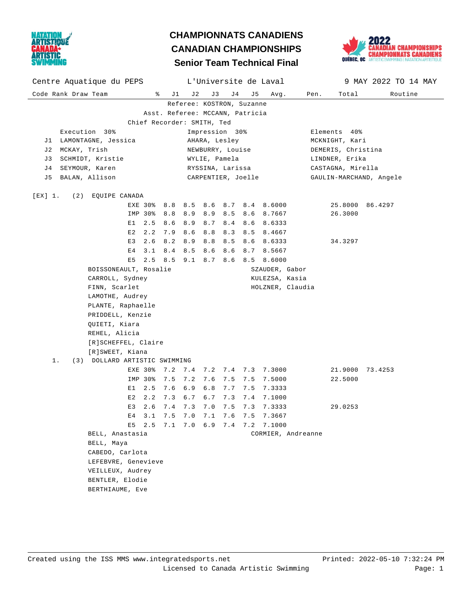

## **Senior Team Technical Final CHAMPIONNATS CANADIENS CANADIAN CHAMPIONSHIPS**



| Centre Aquatique du PEPS                               |                                 |                    |               |             | L'Universite de Laval  |                   |                         | 9 MAY 2022 TO 14 MAY |  |  |
|--------------------------------------------------------|---------------------------------|--------------------|---------------|-------------|------------------------|-------------------|-------------------------|----------------------|--|--|
| Code Rank Draw Team<br>ိ                               | J 2<br>J1                       | J3                 | J 4           | J5          | Avg.                   | Pen.              | Total                   | Routine              |  |  |
| Referee: KOSTRON, Suzanne                              |                                 |                    |               |             |                        |                   |                         |                      |  |  |
| Asst. Referee: MCCANN, Patricia                        |                                 |                    |               |             |                        |                   |                         |                      |  |  |
| Chief Recorder: SMITH, Ted                             |                                 |                    |               |             |                        |                   |                         |                      |  |  |
| Execution 30%<br>Impression 30%<br>Elements 40%        |                                 |                    |               |             |                        |                   |                         |                      |  |  |
| J1 LAMONTAGNE, Jessica                                 | AHARA, Lesley<br>MCKNIGHT, Kari |                    |               |             |                        |                   |                         |                      |  |  |
| J2 MCKAY, Trish                                        | NEWBURRY, Louise                |                    |               |             |                        |                   | DEMERIS, Christina      |                      |  |  |
| SCHMIDT, Kristie<br>J 3                                |                                 |                    | WYLIE, Pamela |             |                        |                   | LINDNER, Erika          |                      |  |  |
| SEYMOUR, Karen<br>J 4                                  | RYSSINA, Larissa                |                    |               |             |                        | CASTAGNA, Mirella |                         |                      |  |  |
| BALAN, Allison<br>J 5                                  |                                 | CARPENTIER, Joelle |               |             |                        |                   | GAULIN-MARCHAND, Angele |                      |  |  |
| [EX] 1.<br>(2) EQUIPE CANADA                           |                                 |                    |               |             |                        |                   |                         |                      |  |  |
| EXE 30%<br>8.8                                         | 8.5                             |                    |               |             | 8.6 8.7 8.4 8.6000     |                   |                         | 25.8000 86.4297      |  |  |
| 8.8<br>IMP 30%                                         | 8.9                             |                    |               |             | 8.9 8.5 8.6 8.7667     |                   | 26.3000                 |                      |  |  |
| 2.5<br>8.6<br>E 1                                      | 8.9                             |                    | 8.7 8.4 8.6   |             | 8.6333                 |                   |                         |                      |  |  |
| E2<br>2.2<br>7.9                                       | 8.6                             | 8.8                |               |             | 8.3 8.5 8.4667         |                   |                         |                      |  |  |
| 2.6<br>8.2<br>E3                                       | 8.9                             | 8.8                | 8.5           | 8.6         | 8.6333                 |                   | 34.3297                 |                      |  |  |
| 8.4 8.5<br>3.1<br>E4                                   |                                 | 8.6                | 8.6           |             | 8.7 8.5667             |                   |                         |                      |  |  |
| $2.5$ 8.5 9.1<br>E5                                    |                                 |                    |               |             | 8.7 8.6 8.5 8.6000     |                   |                         |                      |  |  |
| BOISSONEAULT, Rosalie                                  |                                 |                    |               |             | SZAUDER, Gabor         |                   |                         |                      |  |  |
| CARROLL, Sydney                                        |                                 |                    |               |             | KULEZSA, Kasia         |                   |                         |                      |  |  |
| FINN, Scarlet                                          |                                 |                    |               |             | HOLZNER, Claudia       |                   |                         |                      |  |  |
| LAMOTHE, Audrey                                        |                                 |                    |               |             |                        |                   |                         |                      |  |  |
|                                                        | PLANTE, Raphaelle               |                    |               |             |                        |                   |                         |                      |  |  |
|                                                        | PRIDDELL, Kenzie                |                    |               |             |                        |                   |                         |                      |  |  |
| QUIETI, Kiara                                          |                                 |                    |               |             |                        |                   |                         |                      |  |  |
| REHEL, Alicia                                          |                                 |                    |               |             |                        |                   |                         |                      |  |  |
| [R]SCHEFFEL, Claire                                    |                                 |                    |               |             |                        |                   |                         |                      |  |  |
| [R]SWEET, Kiana<br>1.<br>(3) DOLLARD ARTISTIC SWIMMING |                                 |                    |               |             |                        |                   |                         |                      |  |  |
| EXE 30%<br>7.2                                         |                                 |                    |               |             | 7.4 7.2 7.4 7.3 7.3000 |                   |                         | 21.9000 73.4253      |  |  |
| 7.5<br>IMP 30%                                         |                                 | $7.2$ 7.6          |               | 7.5 7.5     | 7.5000                 |                   | 22.5000                 |                      |  |  |
| 2.5<br>7.6<br>E1                                       | 6.9                             | 6.8                |               | 7.7 7.5     | 7.3333                 |                   |                         |                      |  |  |
| 2.2<br>E 2<br>7.3                                      | 6.7                             | 6.7                |               | $7.3$ $7.4$ | 7.1000                 |                   |                         |                      |  |  |
| 2.6<br>7.4<br>E3                                       | 7.3                             | 7.0                | 7.5           | 7.3         | 7.3333                 |                   | 29.0253                 |                      |  |  |
| E <sub>4</sub><br>3.1<br>7.5                           | 7.0                             | 7.1                | 7.6           | 7.5         | 7.3667                 |                   |                         |                      |  |  |
| E5 2.5 7.1 7.0 6.9 7.4 7.2 7.1000                      |                                 |                    |               |             |                        |                   |                         |                      |  |  |
| BELL, Anastasia                                        |                                 |                    |               |             | CORMIER, Andreanne     |                   |                         |                      |  |  |
| BELL, Maya                                             |                                 |                    |               |             |                        |                   |                         |                      |  |  |
| CABEDO, Carlota                                        |                                 |                    |               |             |                        |                   |                         |                      |  |  |
| LEFEBVRE, Genevieve                                    |                                 |                    |               |             |                        |                   |                         |                      |  |  |
| VEILLEUX, Audrey                                       |                                 |                    |               |             |                        |                   |                         |                      |  |  |
| BENTLER, Elodie                                        |                                 |                    |               |             |                        |                   |                         |                      |  |  |
| BERTHIAUME, Eve                                        |                                 |                    |               |             |                        |                   |                         |                      |  |  |